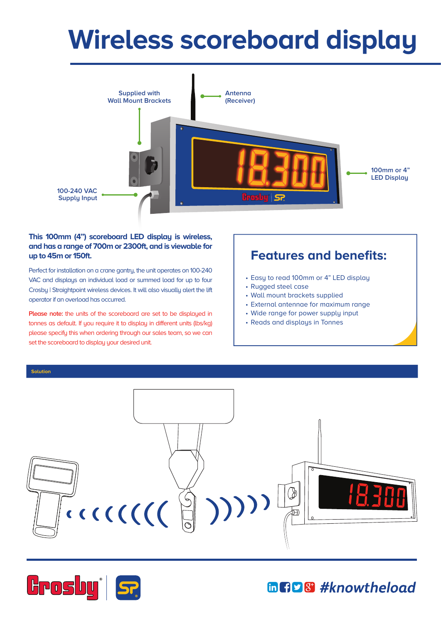## **Wireless scoreboard display**



## **This 100mm (4") scoreboard LED display is wireless, and has a range of 700m or 2300ft, and is viewable for up to 45m or 150ft.**

Perfect for installation on a crane gantry, the unit operates on 100-240 VAC and displays an individual load or summed load for up to four Crosby | Straightpoint wireless devices. It will also visually alert the lift operator if an overload has occurred.

**Please note:** the units of the scoreboard are set to be displayed in tonnes as default. If you require it to display in different units (lbs/kg) please specify this when ordering through our sales team, so we can set the scoreboard to display your desired unit.

## **Features and benefits:**

- Easy to read 100mm or 4" LED display
- Rugged steel case
- Wall mount brackets supplied
- External antennae for maximum range
- Wide range for power supply input
- Reads and displays in Tonnes







## **GGD8** #knowtheload